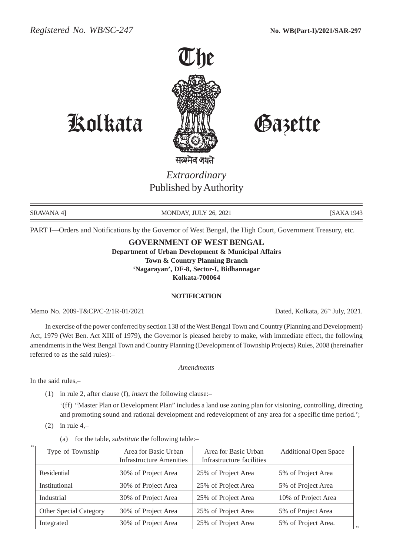

# Kolkata Gazette

*Extraordinary* Published by Authority

SRAVANA 4] MONDAY, JULY 26, 2021 [SAKA 1943]

PART I—Orders and Notifications by the Governor of West Bengal, the High Court, Government Treasury, etc.

## **GOVERNMENT OF WEST BENGAL**

**Department of Urban Development & Municipal Affairs Town & Country Planning Branch 'Nagarayan', DF-8, Sector-I, Bidhannagar Kolkata-700064**

#### **NOTIFICATION**

Memo No. 2009-T&CP/C-2/1R-01/2021 Dated, Kolkata, 26<sup>th</sup> July, 2021.

In exercise of the power conferred by section 138 of the West Bengal Town and Country (Planning and Development) Act, 1979 (Wet Ben. Act XIII of 1979), the Governor is pleased hereby to make, with immediate effect, the following amendments in the West Bengal Town and Country Planning (Development of Township Projects) Rules, 2008 (hereinafter referred to as the said rules):–

*Amendments*

In the said rules,–

"

- (1) in rule 2, after clause (f), *insert* the following clause:–
	- '(ff) "Master Plan or Development Plan" includes a land use zoning plan for visioning, controlling, directing and promoting sound and rational development and redevelopment of any area for a specific time period.';
- $(2)$  in rule 4,-
	- (a) for the table, *substitute* the following table:–

| Area for Basic Urban | Area for Basic Urban            |                     |
|----------------------|---------------------------------|---------------------|
|                      | Infrastructure facilities       |                     |
| 30% of Project Area  | 25% of Project Area             | 5% of Project Area  |
| 30% of Project Area  | 25% of Project Area             | 5% of Project Area  |
| 30% of Project Area  | 25% of Project Area             | 10% of Project Area |
| 30% of Project Area  | 25% of Project Area             | 5% of Project Area  |
| 30% of Project Area  | 25% of Project Area             | 5% of Project Area. |
|                      | <b>Infrastructure Amenities</b> |                     |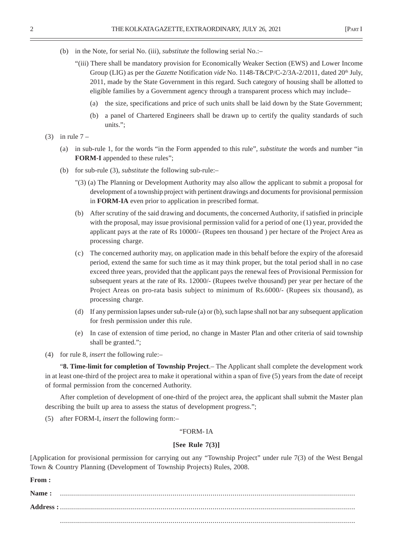- (b) in the Note, for serial No. (iii), *substitute* the following serial No.:–
	- "(iii) There shall be mandatory provision for Economically Weaker Section (EWS) and Lower Income Group (LIG) as per the *Gazette* Notification *vide* No. 1148-T&CP/C-2/3A-2/2011, dated 20<sup>th</sup> July, 2011, made by the State Government in this regard. Such category of housing shall be allotted to eligible families by a Government agency through a transparent process which may include–
		- (a) the size, specifications and price of such units shall be laid down by the State Government;
		- (b) a panel of Chartered Engineers shall be drawn up to certify the quality standards of such units.";
- $(3)$  in rule  $7 -$ 
	- (a) in sub-rule 1, for the words "in the Form appended to this rule", *substitute* the words and number "in **FORM-I** appended to these rules";
	- (b) for sub-rule (3), *substitute* the following sub-rule:–
		- "(3) (a) The Planning or Development Authority may also allow the applicant to submit a proposal for development of a township project with pertinent drawings and documents for provisional permission in **FORM-IA** even prior to application in prescribed format.
		- (b) After scrutiny of the said drawing and documents, the concerned Authority, if satisfied in principle with the proposal, may issue provisional permission valid for a period of one (1) year, provided the applicant pays at the rate of Rs 10000/- (Rupees ten thousand ) per hectare of the Project Area as processing charge.
		- (c) The concerned authority may, on application made in this behalf before the expiry of the aforesaid period, extend the same for such time as it may think proper, but the total period shall in no case exceed three years, provided that the applicant pays the renewal fees of Provisional Permission for subsequent years at the rate of Rs. 12000/- (Rupees twelve thousand) per year per hectare of the Project Areas on pro-rata basis subject to minimum of Rs.6000/- (Rupees six thousand), as processing charge.
		- (d) If any permission lapses under sub-rule (a) or (b), such lapse shall not bar any subsequent application for fresh permission under this rule.
		- (e) In case of extension of time period, no change in Master Plan and other criteria of said township shall be granted.";
- (4) for rule 8, *insert* the following rule:–

"**8. Time-limit for completion of Township Project**.– The Applicant shall complete the development work in at least one-third of the project area to make it operational within a span of five (5) years from the date of receipt of formal permission from the concerned Authority.

After completion of development of one-third of the project area, the applicant shall submit the Master plan describing the built up area to assess the status of development progress.";

(5) after FORM-I, *insert* the following form:–

### "FORM- IA

#### **[See Rule 7(3)]**

[Application for provisional permission for carrying out any "Township Project" under rule 7(3) of the West Bengal Town & Country Planning (Development of Township Projects) Rules, 2008.

**From :**

| Name: |  |  |  |
|-------|--|--|--|
|       |  |  |  |
|       |  |  |  |